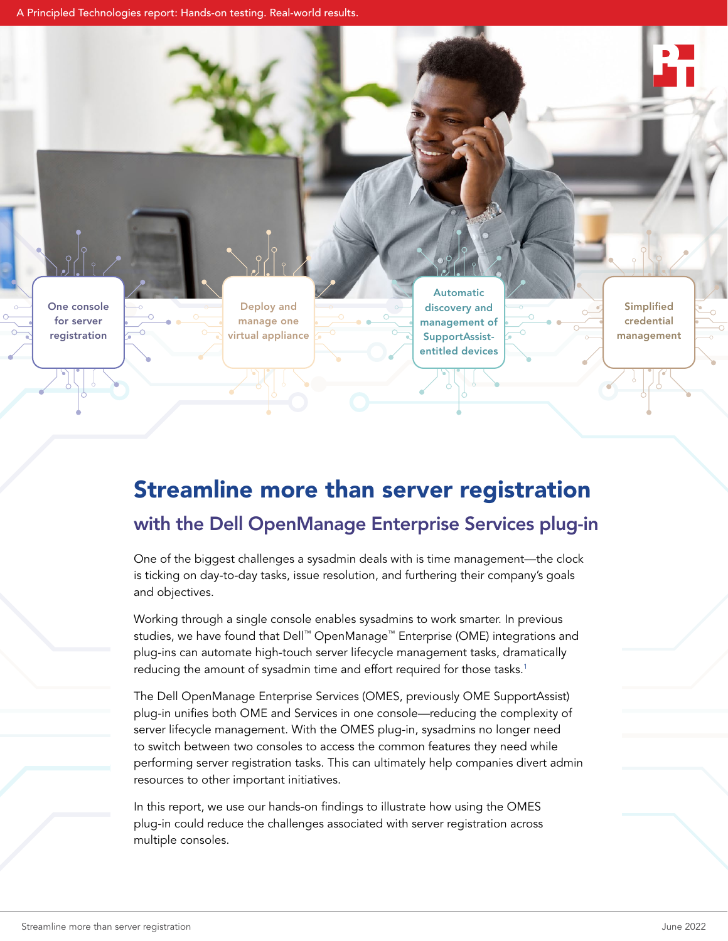A Principled Technologies report: Hands-on testing. Real-world results.



# Streamline more than server registration with the Dell OpenManage Enterprise Services plug-in

One of the biggest challenges a sysadmin deals with is time management—the clock is ticking on day-to-day tasks, issue resolution, and furthering their company's goals and objectives.

Working through a single console enables sysadmins to work smarter. In previous studies, we have found that Dell™ OpenManage™ Enterprise (OME) integrations and plug-ins can automate high-touch server lifecycle management tasks, dramatically reducing the amount of sysadmin time and effort required for those tasks.<sup>1</sup>

The Dell OpenManage Enterprise Services (OMES, previously OME SupportAssist) plug-in unifies both OME and Services in one console—reducing the complexity of server lifecycle management. With the OMES plug-in, sysadmins no longer need to switch between two consoles to access the common features they need while performing server registration tasks. This can ultimately help companies divert admin resources to other important initiatives.

In this report, we use our hands-on findings to illustrate how using the OMES plug-in could reduce the challenges associated with server registration across multiple consoles.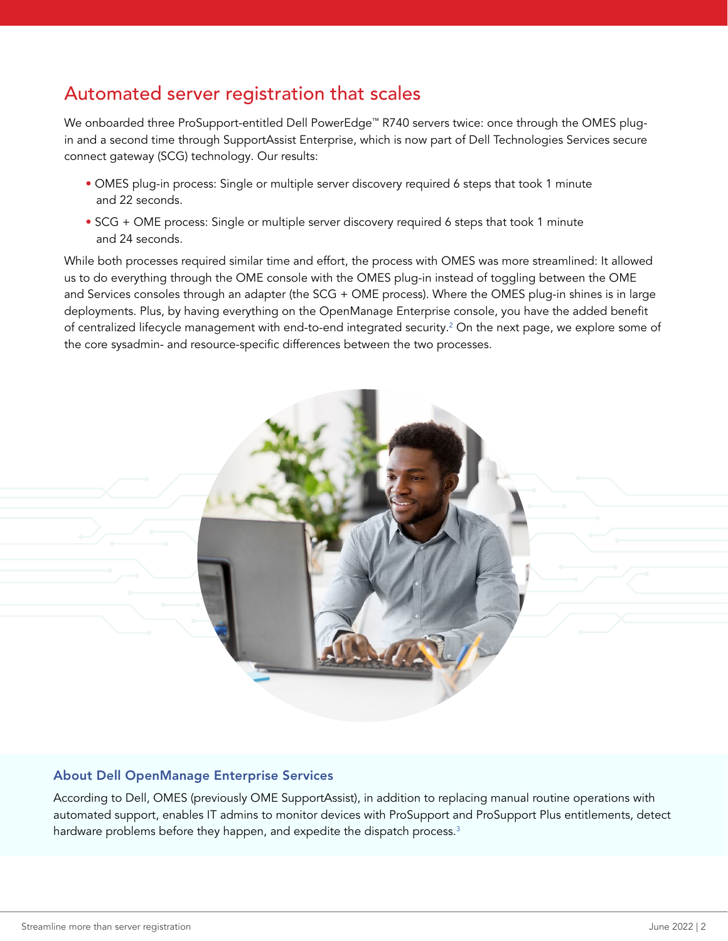# Automated server registration that scales

We onboarded three ProSupport-entitled Dell PowerEdge<sup>™</sup> R740 servers twice: once through the OMES plugin and a second time through SupportAssist Enterprise, which is now part of Dell Technologies Services secure connect gateway (SCG) technology. Our results:

- OMES plug-in process: Single or multiple server discovery required 6 steps that took 1 minute and 22 seconds.
- SCG + OME process: Single or multiple server discovery required 6 steps that took 1 minute and 24 seconds.

While both processes required similar time and effort, the process with OMES was more streamlined: It allowed us to do everything through the OME console with the OMES plug-in instead of toggling between the OME and Services consoles through an adapter (the SCG + OME process). Where the OMES plug-in shines is in large deployments. Plus, by having everything on the OpenManage Enterprise console, you have the added benefit of centralized lifecycle management with end-to-end integrated security.<sup>[2](#page-3-1)</sup> On the next page, we explore some of the core sysadmin- and resource-specific differences between the two processes.



#### About Dell OpenManage Enterprise Services

According to Dell, OMES (previously OME SupportAssist), in addition to replacing manual routine operations with automated support, enables IT admins to monitor devices with ProSupport and ProSupport Plus entitlements, detect hardware problems before they happen, and expedite the dispatch process.<sup>[3](#page-3-2)</sup>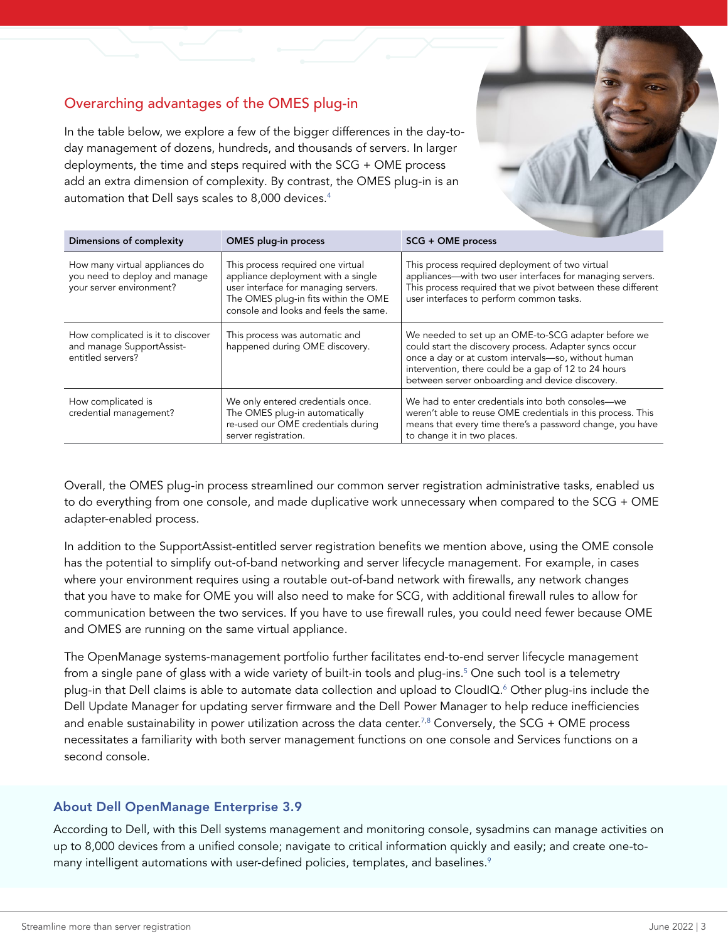## Overarching advantages of the OMES plug-in

In the table below, we explore a few of the bigger differences in the day-today management of dozens, hundreds, and thousands of servers. In larger deployments, the time and steps required with the SCG + OME process add an extra dimension of complexity. By contrast, the OMES plug-in is an automation that Dell says scales to 8,000 devices.<sup>4</sup>

| Dimensions of complexity                                                                    | <b>OMES</b> plug-in process                                                                                                                                                                      | SCG + OME process                                                                                                                                                                                                                                                               |
|---------------------------------------------------------------------------------------------|--------------------------------------------------------------------------------------------------------------------------------------------------------------------------------------------------|---------------------------------------------------------------------------------------------------------------------------------------------------------------------------------------------------------------------------------------------------------------------------------|
| How many virtual appliances do<br>you need to deploy and manage<br>your server environment? | This process required one virtual<br>appliance deployment with a single<br>user interface for managing servers.<br>The OMES plug-in fits within the OME<br>console and looks and feels the same. | This process required deployment of two virtual<br>appliances—with two user interfaces for managing servers.<br>This process required that we pivot between these different<br>user interfaces to perform common tasks.                                                         |
| How complicated is it to discover<br>and manage SupportAssist-<br>entitled servers?         | This process was automatic and<br>happened during OME discovery.                                                                                                                                 | We needed to set up an OME-to-SCG adapter before we<br>could start the discovery process. Adapter syncs occur<br>once a day or at custom intervals-so, without human<br>intervention, there could be a gap of 12 to 24 hours<br>between server onboarding and device discovery. |
| How complicated is<br>credential management?                                                | We only entered credentials once.<br>The OMES plug-in automatically<br>re-used our OME credentials during<br>server registration.                                                                | We had to enter credentials into both consoles-we<br>weren't able to reuse OME credentials in this process. This<br>means that every time there's a password change, you have<br>to change it in two places.                                                                    |

Overall, the OMES plug-in process streamlined our common server registration administrative tasks, enabled us to do everything from one console, and made duplicative work unnecessary when compared to the SCG + OME adapter-enabled process.

In addition to the SupportAssist-entitled server registration benefits we mention above, using the OME console has the potential to simplify out-of-band networking and server lifecycle management. For example, in cases where your environment requires using a routable out-of-band network with firewalls, any network changes that you have to make for OME you will also need to make for SCG, with additional firewall rules to allow for communication between the two services. If you have to use firewall rules, you could need fewer because OME and OMES are running on the same virtual appliance.

The OpenManage systems-management portfolio further facilitates end-to-end server lifecycle management from a single pane of glass with a wide variety of built-in tools and plug-ins.<sup>5</sup> One such tool is a telemetry plug-in that Dell claims is able to automate data collection and upload to CloudIQ[.6](#page-3-5) Other plug-ins include the Dell Update Manager for updating server firmware and the Dell Power Manager to help reduce inefficiencies and enable sustainability in power utilization across the data center.<sup>7[,8](#page-3-7)</sup> Conversely, the SCG + OME process necessitates a familiarity with both server management functions on one console and Services functions on a second console.

### About Dell OpenManage Enterprise 3.9

According to Dell, with this Dell systems management and monitoring console, sysadmins can manage activities on up to 8,000 devices from a unified console; navigate to critical information quickly and easily; and create one-tomany intelligent automations with user-defined policies, templates, and baselines.<sup>9</sup>